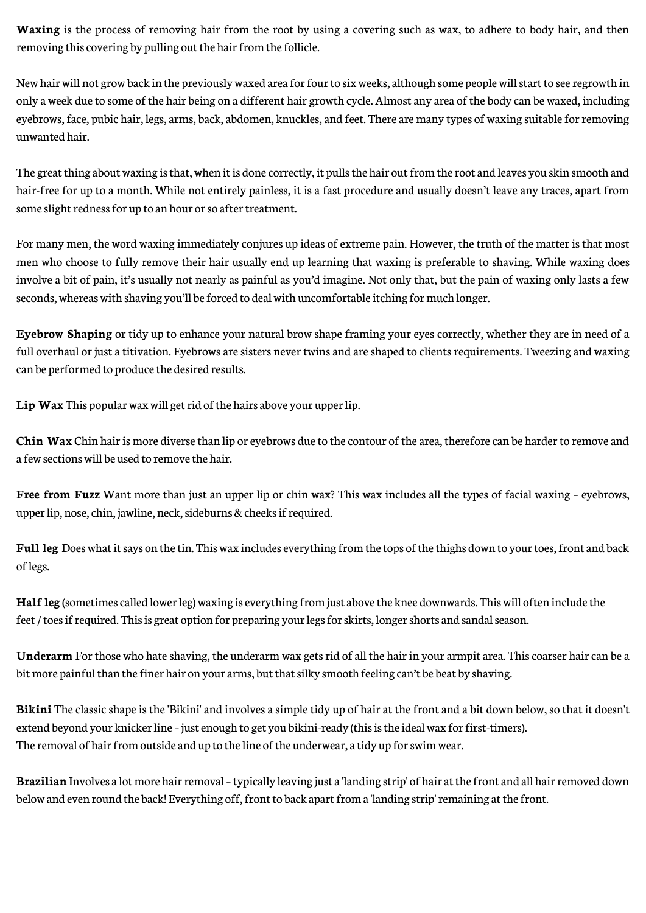**Waxing** is the process of removing hair from the root by using a covering such as wax, to adhere to body hair, and then removing this covering by pulling out the hair from the follicle.

New hair will not grow back in the previously waxed area for four to six weeks, although some people will start to see regrowth in only a week due to some of the hair being on a different hair growth cycle. Almost any area of the body can be waxed, including eyebrows, face, pubic hair, legs, arms, back, abdomen, knuckles, and feet. There are many types of waxing suitable for removing unwanted hair.

The great thing about waxing is that, when it is done correctly, it pulls the hair out from the root and leaves you skin smooth and hair-free for up to a month. While not entirely painless, it is a fast procedure and usually doesn't leave any traces, apart from some slight redness for up to an hour or so after treatment.

For many men, the word waxing immediately conjures up ideas of extreme pain. However, the truth of the matter is that most men who choose to fully remove their hair usually end up learning that waxing is preferable to shaving. While waxing does involve a bit of pain, it's usually not nearly as painful as you'd imagine. Not only that, but the pain of waxing only lasts a few seconds, whereas with shaving you'll be forced to deal with uncomfortable itching for much longer.

**Eyebrow Shaping** or tidy up to enhance your natural brow shape framing your eyes correctly, whether they are in need of a full overhaul or just a titivation. Eyebrows are sisters never twins and are shaped to clients requirements. Tweezing and waxing can be performed to produce the desired results.

**Lip Wax** This popular wax will get rid of the hairs above your upper lip.

**Chin Wax** Chin hair is more diverse than lip or eyebrows due to the contour of the area, therefore can be harder to remove and a few sections will be used to remove the hair.

**Free from Fuzz** Want more than just an upper lip or chin wax? This wax includes all the types of facial waxing - eyebrows, upper lip, nose, chin, jawline, neck, sideburns & cheeks if required.

**Full leg** Does what it says on the tin. This wax includes everything from the tops of the thighs down to your toes, front and back of legs.

**Half leg** (sometimes called lower leg) waxing is everything from just above the knee downwards. This will often include the feet / toes if required. This is great option for preparing your legs for skirts, longer shorts and sandal season.

**Underarm** For those who hate shaving, the underarm wax gets rid of all the hair in your armpit area. This coarser hair can be a bit more painful than the finer hair on your arms, but that silky smooth feeling can't be beat by shaving.

**Bikini** The classic shape is the 'Bikini' and involves a simple tidy up of hair at the front and a bit down below, so that it doesn't extend beyond your knicker line – just enough to get you bikini-ready (this is the ideal wax for first-timers). The removal of hair from outside and up to the line of the underwear, a tidy up for swim wear.

**Brazilian** Involves a lot more hair removal – typically leaving just a 'landing strip' of hair at the front and all hair removed down below and even round the back! Everything off, front to back apart from a 'landing strip' remaining at the front.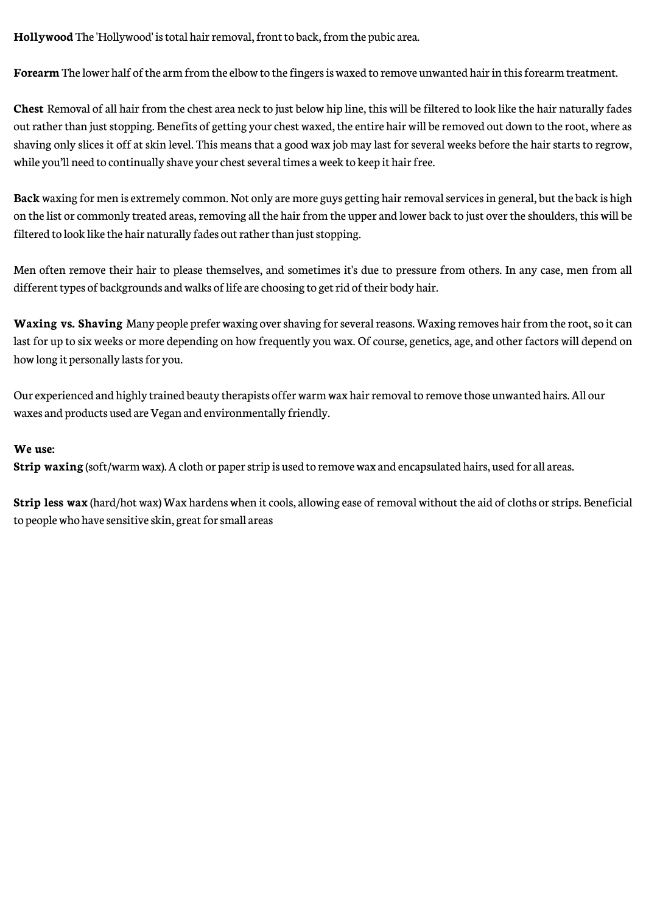**Hollywood** The 'Hollywood' is total hair removal, front to back, from the pubic area.

**Forearm** The lower half of the arm from the elbow to the fingers is waxed to remove unwanted hair in this forearm treatment.

**Chest** Removal of all hair from the chest area neck to just below hip line, this will be filtered to look like the hair naturally fades out rather than just stopping. Benefits of getting your chest waxed, the entire hair will be removed out down to the root, where as shaving only slices it off at skin level. This means that a good wax job may last for several weeks before the hair starts to regrow, while you'll need to continually shave your chest several times a week to keep it hair free.

**Back** waxing for men is extremely common. Not only are more guys getting hair removal services in general, but the back is high on the list or commonly treated areas, removing all the hair from the upper and lower back to just over the shoulders, this will be filtered to look like the hair naturally fades out rather than just stopping.

Men often remove their hair to please themselves, and sometimes it's due to pressure from others. In any case, men from all different types of backgrounds and walks of life are choosing to get rid of their body hair.

**Waxing vs. Shaving** Many people prefer waxing over shaving for several reasons. Waxing removes hair from the root, so it can last for up to six weeks or more depending on how frequently you wax. Of course, genetics, age, and other factors will depend on how long it personally lasts for you.

Our experienced and highly trained beauty therapists offer warm wax hair removal to remove those unwanted hairs. All our waxes and products used are Vegan and environmentally friendly.

## **We use:**

**Strip waxing** (soft/warm wax). A cloth or paper strip is used to remove wax and encapsulated hairs, used for all areas.

Strip less wax (hard/hot wax) Wax hardens when it cools, allowing ease of removal without the aid of cloths or strips. Beneficial to people who have sensitive skin, great for small areas